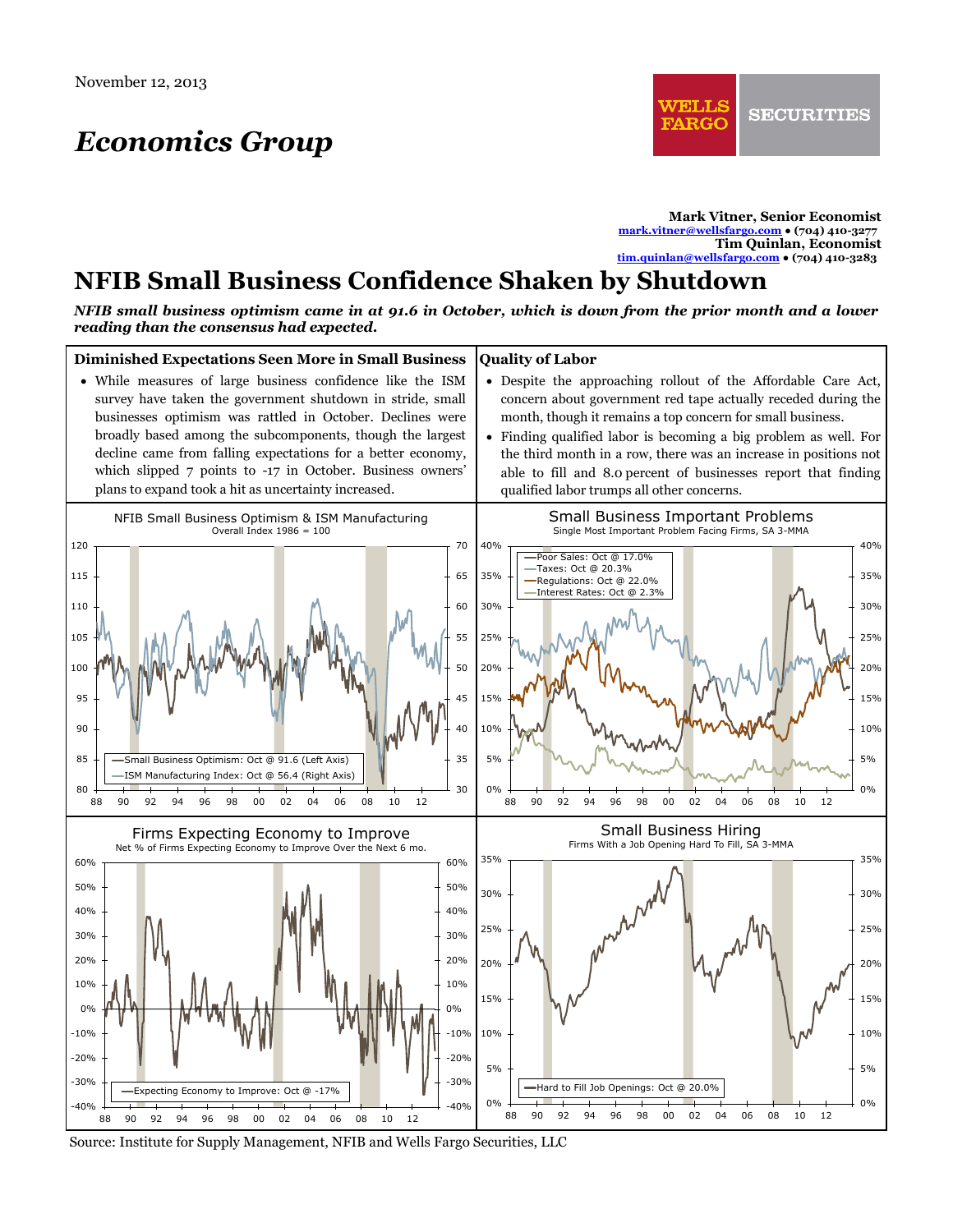# *Economics Group*

**Mark Vitner, Senior Economist [mark.vitner@wellsfargo.com](mailto:mark.vitner@wellsfargo.com) ● (704) 410-3277 Tim Quinlan, Economist [tim.quinlan@wellsfargo.com](mailto:tim.quinlan@wellsfargo.com) ● (704) 410-3283**

## **NFIB Small Business Confidence Shaken by Shutdown**

*NFIB small business optimism came in at 91.6 in October, which is down from the prior month and a lower reading than the consensus had expected.* 



Source: Institute for Supply Management, NFIB and Wells Fargo Securities, LLC